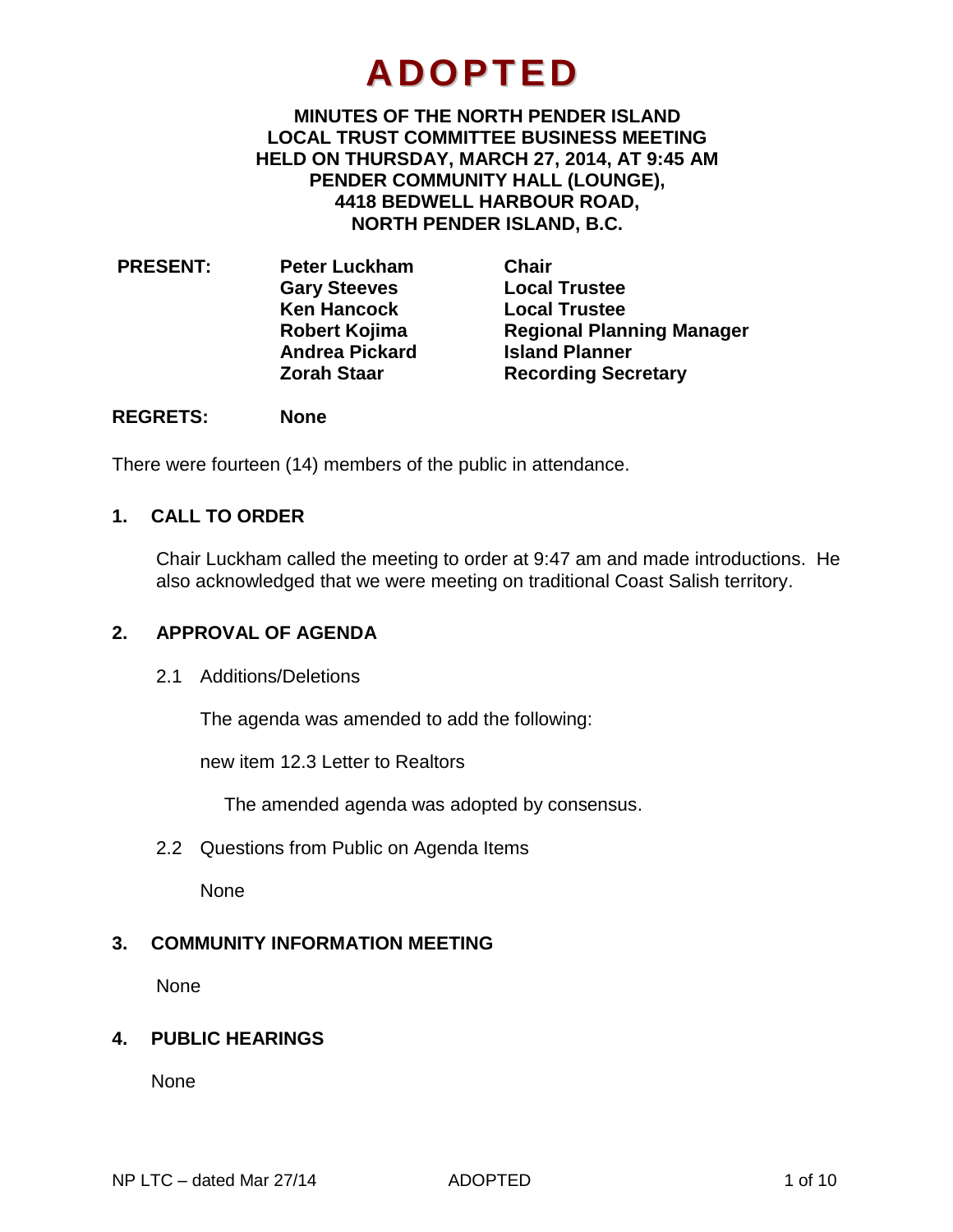# **ADOPTED**

**MINUTES OF THE NORTH PENDER ISLAND LOCAL TRUST COMMITTEE BUSINESS MEETING HELD ON THURSDAY, MARCH 27, 2014, AT 9:45 AM PENDER COMMUNITY HALL (LOUNGE), 4418 BEDWELL HARBOUR ROAD, NORTH PENDER ISLAND, B.C.**

| <b>PRESENT:</b> | <b>Peter Luckham</b>  | <b>Chair</b>                     |
|-----------------|-----------------------|----------------------------------|
|                 | <b>Gary Steeves</b>   | <b>Local Trustee</b>             |
|                 | <b>Ken Hancock</b>    | <b>Local Trustee</b>             |
|                 | Robert Kojima         | <b>Regional Planning Manager</b> |
|                 | <b>Andrea Pickard</b> | <b>Island Planner</b>            |
|                 | <b>Zorah Staar</b>    | <b>Recording Secretary</b>       |
|                 |                       |                                  |

## **REGRETS: None**

There were fourteen (14) members of the public in attendance.

# **1. CALL TO ORDER**

Chair Luckham called the meeting to order at 9:47 am and made introductions. He also acknowledged that we were meeting on traditional Coast Salish territory.

# **2. APPROVAL OF AGENDA**

2.1 Additions/Deletions

The agenda was amended to add the following:

new item 12.3 Letter to Realtors

The amended agenda was adopted by consensus.

2.2 Questions from Public on Agenda Items

None

# **3. COMMUNITY INFORMATION MEETING**

None

# **4. PUBLIC HEARINGS**

**None**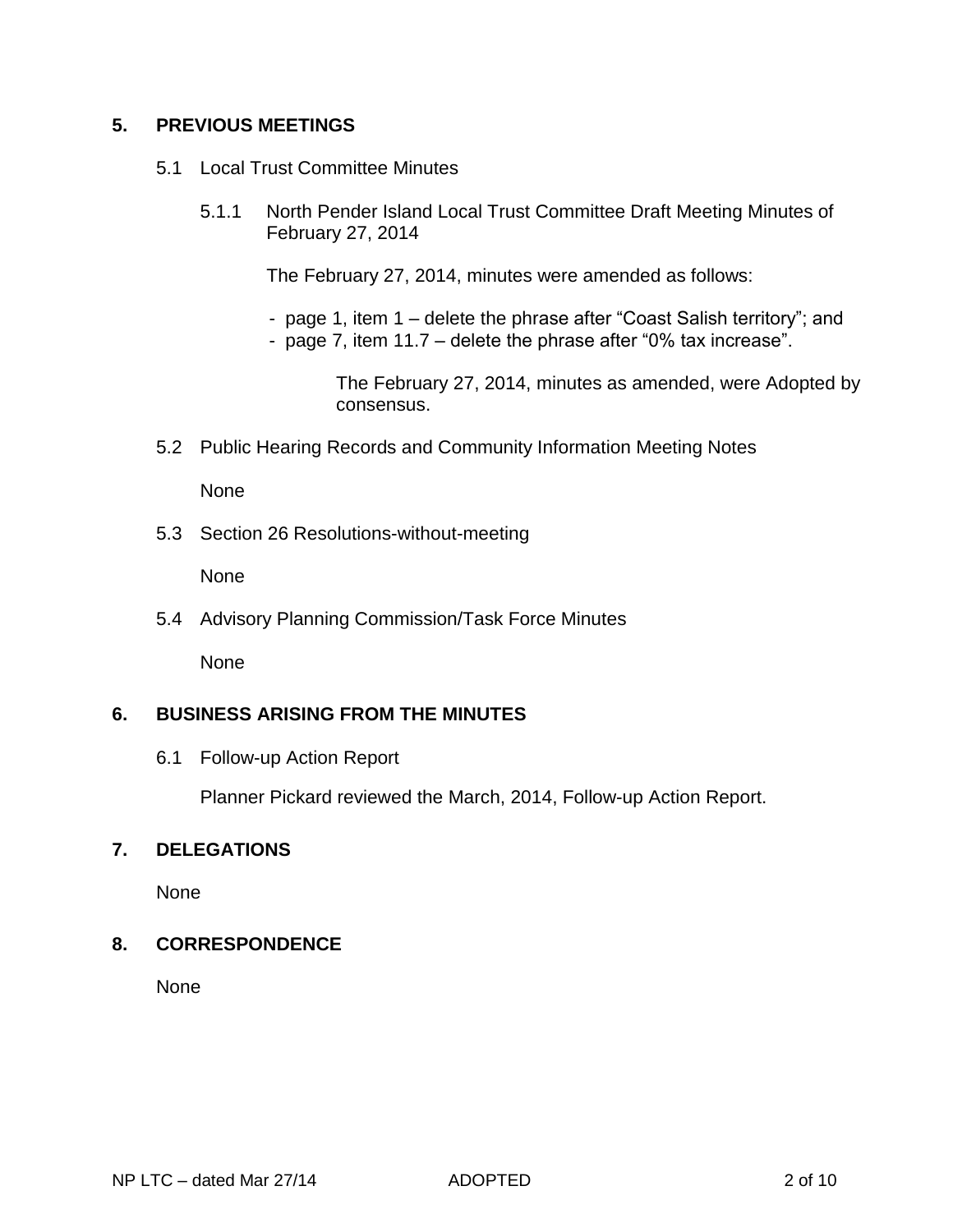# **5. PREVIOUS MEETINGS**

- 5.1 Local Trust Committee Minutes
	- 5.1.1 North Pender Island Local Trust Committee Draft Meeting Minutes of February 27, 2014

The February 27, 2014, minutes were amended as follows:

- page 1, item 1 delete the phrase after "Coast Salish territory"; and
- page 7, item 11.7 delete the phrase after "0% tax increase".

The February 27, 2014, minutes as amended, were Adopted by consensus.

5.2 Public Hearing Records and Community Information Meeting Notes

None

5.3 Section 26 Resolutions-without-meeting

None

5.4 Advisory Planning Commission/Task Force Minutes

None

# **6. BUSINESS ARISING FROM THE MINUTES**

6.1 Follow-up Action Report

Planner Pickard reviewed the March, 2014, Follow-up Action Report.

# **7. DELEGATIONS**

None

# **8. CORRESPONDENCE**

None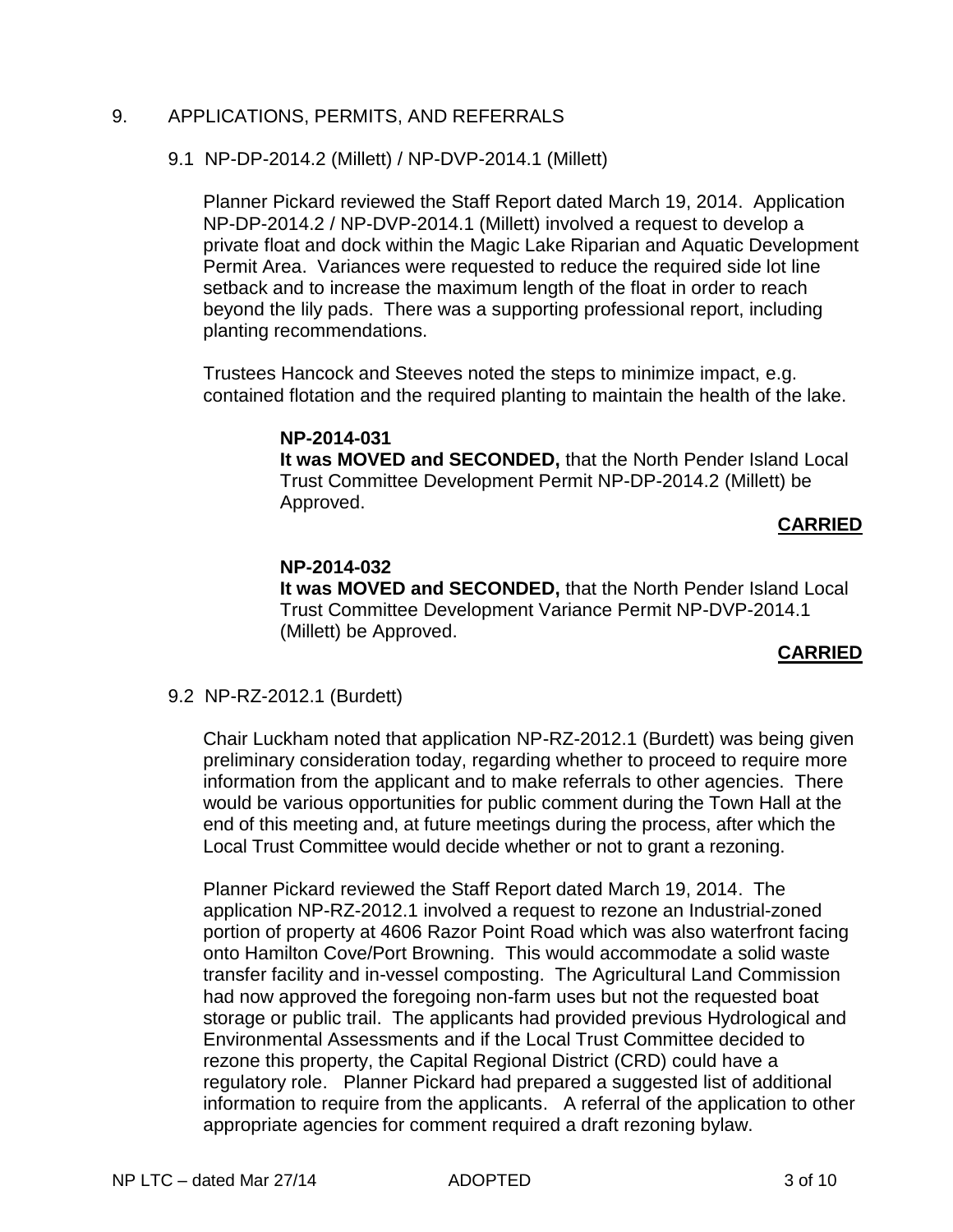## 9. APPLICATIONS, PERMITS, AND REFERRALS

## 9.1 NP-DP-2014.2 (Millett) / NP-DVP-2014.1 (Millett)

Planner Pickard reviewed the Staff Report dated March 19, 2014. Application NP-DP-2014.2 / NP-DVP-2014.1 (Millett) involved a request to develop a private float and dock within the Magic Lake Riparian and Aquatic Development Permit Area. Variances were requested to reduce the required side lot line setback and to increase the maximum length of the float in order to reach beyond the lily pads. There was a supporting professional report, including planting recommendations.

Trustees Hancock and Steeves noted the steps to minimize impact, e.g. contained flotation and the required planting to maintain the health of the lake.

## **NP-2014-031**

**It was MOVED and SECONDED,** that the North Pender Island Local Trust Committee Development Permit NP-DP-2014.2 (Millett) be Approved.

## **CARRIED**

# **NP-2014-032**

**It was MOVED and SECONDED,** that the North Pender Island Local Trust Committee Development Variance Permit NP-DVP-2014.1 (Millett) be Approved.

# **CARRIED**

## 9.2 NP-RZ-2012.1 (Burdett)

Chair Luckham noted that application NP-RZ-2012.1 (Burdett) was being given preliminary consideration today, regarding whether to proceed to require more information from the applicant and to make referrals to other agencies. There would be various opportunities for public comment during the Town Hall at the end of this meeting and, at future meetings during the process, after which the Local Trust Committee would decide whether or not to grant a rezoning.

Planner Pickard reviewed the Staff Report dated March 19, 2014. The application NP-RZ-2012.1 involved a request to rezone an Industrial-zoned portion of property at 4606 Razor Point Road which was also waterfront facing onto Hamilton Cove/Port Browning. This would accommodate a solid waste transfer facility and in-vessel composting. The Agricultural Land Commission had now approved the foregoing non-farm uses but not the requested boat storage or public trail. The applicants had provided previous Hydrological and Environmental Assessments and if the Local Trust Committee decided to rezone this property, the Capital Regional District (CRD) could have a regulatory role. Planner Pickard had prepared a suggested list of additional information to require from the applicants. A referral of the application to other appropriate agencies for comment required a draft rezoning bylaw.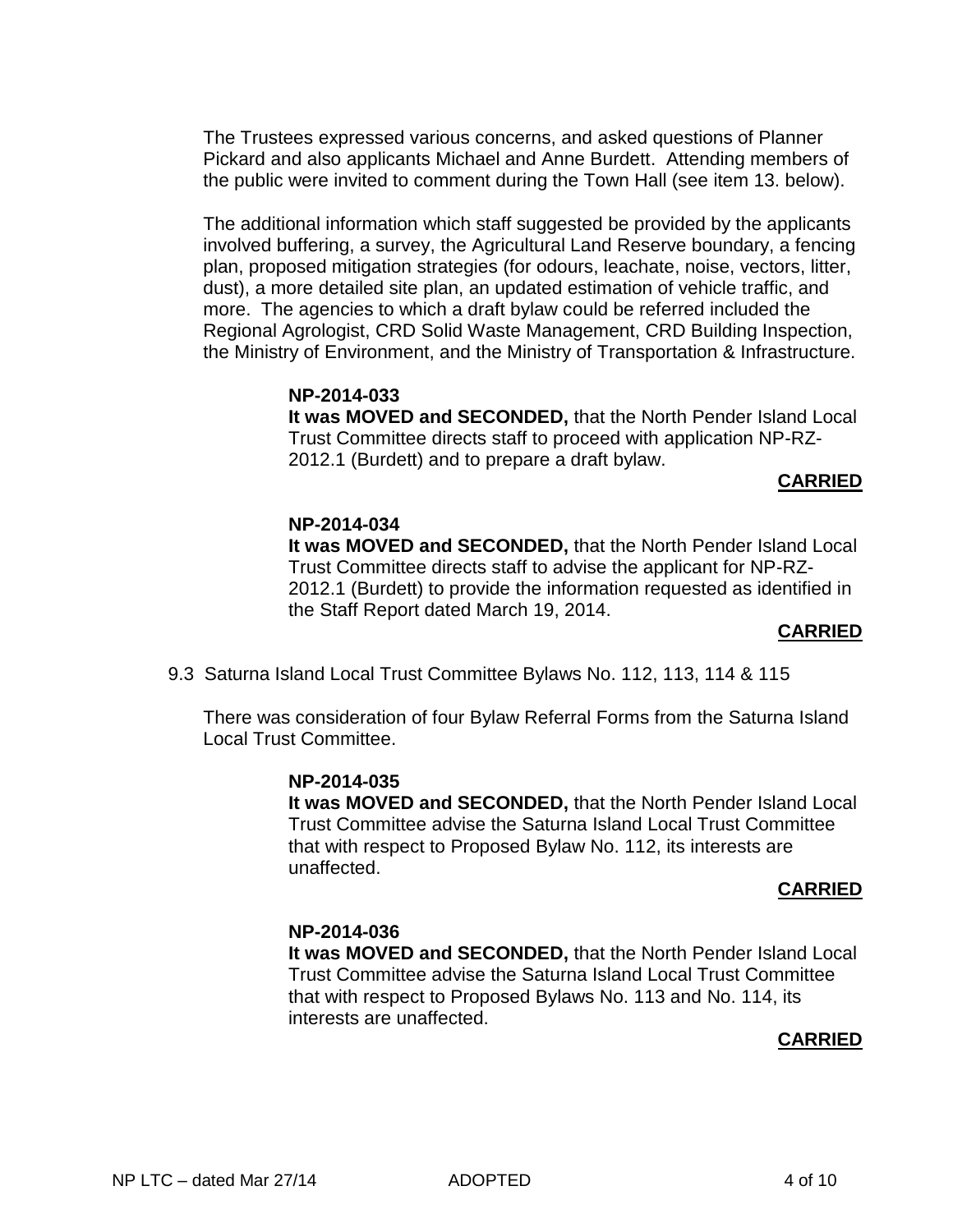The Trustees expressed various concerns, and asked questions of Planner Pickard and also applicants Michael and Anne Burdett. Attending members of the public were invited to comment during the Town Hall (see item 13. below).

The additional information which staff suggested be provided by the applicants involved buffering, a survey, the Agricultural Land Reserve boundary, a fencing plan, proposed mitigation strategies (for odours, leachate, noise, vectors, litter, dust), a more detailed site plan, an updated estimation of vehicle traffic, and more. The agencies to which a draft bylaw could be referred included the Regional Agrologist, CRD Solid Waste Management, CRD Building Inspection, the Ministry of Environment, and the Ministry of Transportation & Infrastructure.

> **NP-2014-033 It was MOVED and SECONDED,** that the North Pender Island Local Trust Committee directs staff to proceed with application NP-RZ-2012.1 (Burdett) and to prepare a draft bylaw.

# **CARRIED**

## **NP-2014-034 It was MOVED and SECONDED,** that the North Pender Island Local Trust Committee directs staff to advise the applicant for NP-RZ-2012.1 (Burdett) to provide the information requested as identified in the Staff Report dated March 19, 2014.

# **CARRIED**

9.3 Saturna Island Local Trust Committee Bylaws No. 112, 113, 114 & 115

There was consideration of four Bylaw Referral Forms from the Saturna Island Local Trust Committee.

# **NP-2014-035**

**It was MOVED and SECONDED,** that the North Pender Island Local Trust Committee advise the Saturna Island Local Trust Committee that with respect to Proposed Bylaw No. 112, its interests are unaffected.

# **CARRIED**

# **NP-2014-036**

**It was MOVED and SECONDED,** that the North Pender Island Local Trust Committee advise the Saturna Island Local Trust Committee that with respect to Proposed Bylaws No. 113 and No. 114, its interests are unaffected.

# **CARRIED**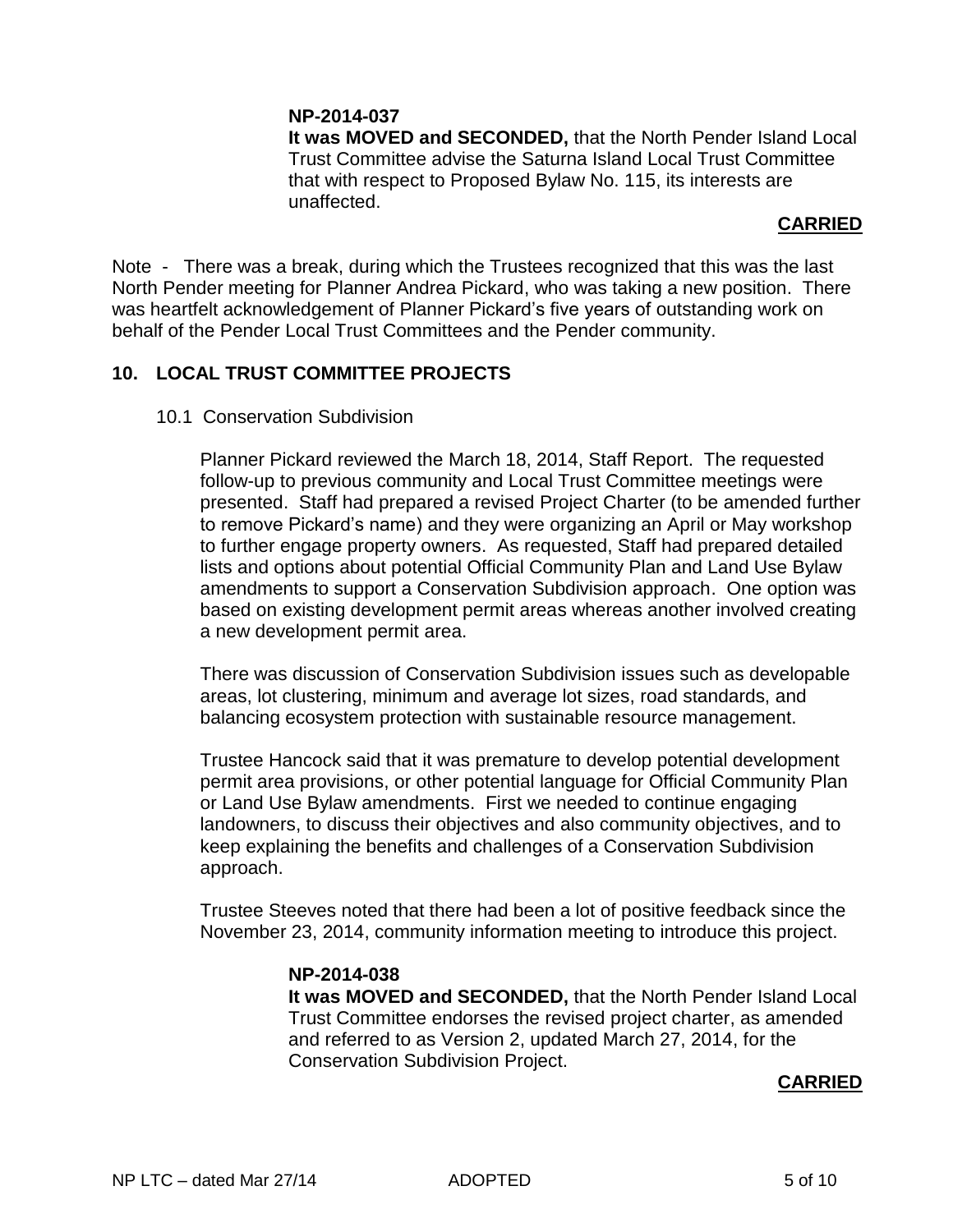## **NP-2014-037**

**It was MOVED and SECONDED,** that the North Pender Island Local Trust Committee advise the Saturna Island Local Trust Committee that with respect to Proposed Bylaw No. 115, its interests are unaffected.

# **CARRIED**

Note - There was a break, during which the Trustees recognized that this was the last North Pender meeting for Planner Andrea Pickard, who was taking a new position. There was heartfelt acknowledgement of Planner Pickard's five years of outstanding work on behalf of the Pender Local Trust Committees and the Pender community.

# **10. LOCAL TRUST COMMITTEE PROJECTS**

10.1 Conservation Subdivision

Planner Pickard reviewed the March 18, 2014, Staff Report. The requested follow-up to previous community and Local Trust Committee meetings were presented. Staff had prepared a revised Project Charter (to be amended further to remove Pickard's name) and they were organizing an April or May workshop to further engage property owners. As requested, Staff had prepared detailed lists and options about potential Official Community Plan and Land Use Bylaw amendments to support a Conservation Subdivision approach. One option was based on existing development permit areas whereas another involved creating a new development permit area.

There was discussion of Conservation Subdivision issues such as developable areas, lot clustering, minimum and average lot sizes, road standards, and balancing ecosystem protection with sustainable resource management.

Trustee Hancock said that it was premature to develop potential development permit area provisions, or other potential language for Official Community Plan or Land Use Bylaw amendments. First we needed to continue engaging landowners, to discuss their objectives and also community objectives, and to keep explaining the benefits and challenges of a Conservation Subdivision approach.

Trustee Steeves noted that there had been a lot of positive feedback since the November 23, 2014, community information meeting to introduce this project.

# **NP-2014-038**

**It was MOVED and SECONDED,** that the North Pender Island Local Trust Committee endorses the revised project charter, as amended and referred to as Version 2, updated March 27, 2014, for the Conservation Subdivision Project.

## **CARRIED**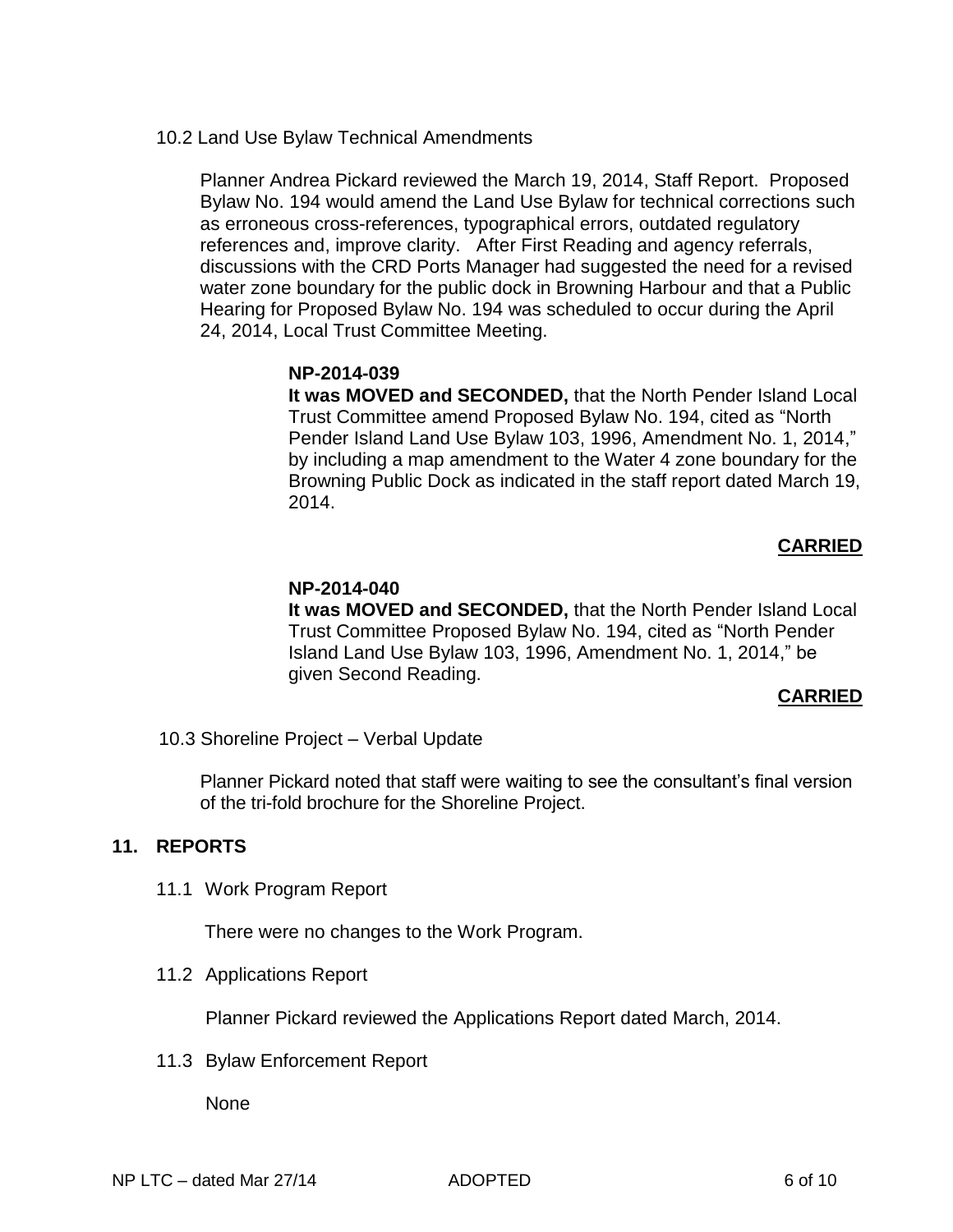10.2 Land Use Bylaw Technical Amendments

Planner Andrea Pickard reviewed the March 19, 2014, Staff Report. Proposed Bylaw No. 194 would amend the Land Use Bylaw for technical corrections such as erroneous cross-references, typographical errors, outdated regulatory references and, improve clarity. After First Reading and agency referrals, discussions with the CRD Ports Manager had suggested the need for a revised water zone boundary for the public dock in Browning Harbour and that a Public Hearing for Proposed Bylaw No. 194 was scheduled to occur during the April 24, 2014, Local Trust Committee Meeting.

## **NP-2014-039**

**It was MOVED and SECONDED,** that the North Pender Island Local Trust Committee amend Proposed Bylaw No. 194, cited as "North Pender Island Land Use Bylaw 103, 1996, Amendment No. 1, 2014," by including a map amendment to the Water 4 zone boundary for the Browning Public Dock as indicated in the staff report dated March 19, 2014.

# **CARRIED**

# **NP-2014-040**

**It was MOVED and SECONDED,** that the North Pender Island Local Trust Committee Proposed Bylaw No. 194, cited as "North Pender Island Land Use Bylaw 103, 1996, Amendment No. 1, 2014," be given Second Reading.

## **CARRIED**

10.3 Shoreline Project – Verbal Update

Planner Pickard noted that staff were waiting to see the consultant's final version of the tri-fold brochure for the Shoreline Project.

# **11. REPORTS**

11.1 Work Program Report

There were no changes to the Work Program.

11.2 Applications Report

Planner Pickard reviewed the Applications Report dated March, 2014.

11.3 Bylaw Enforcement Report

None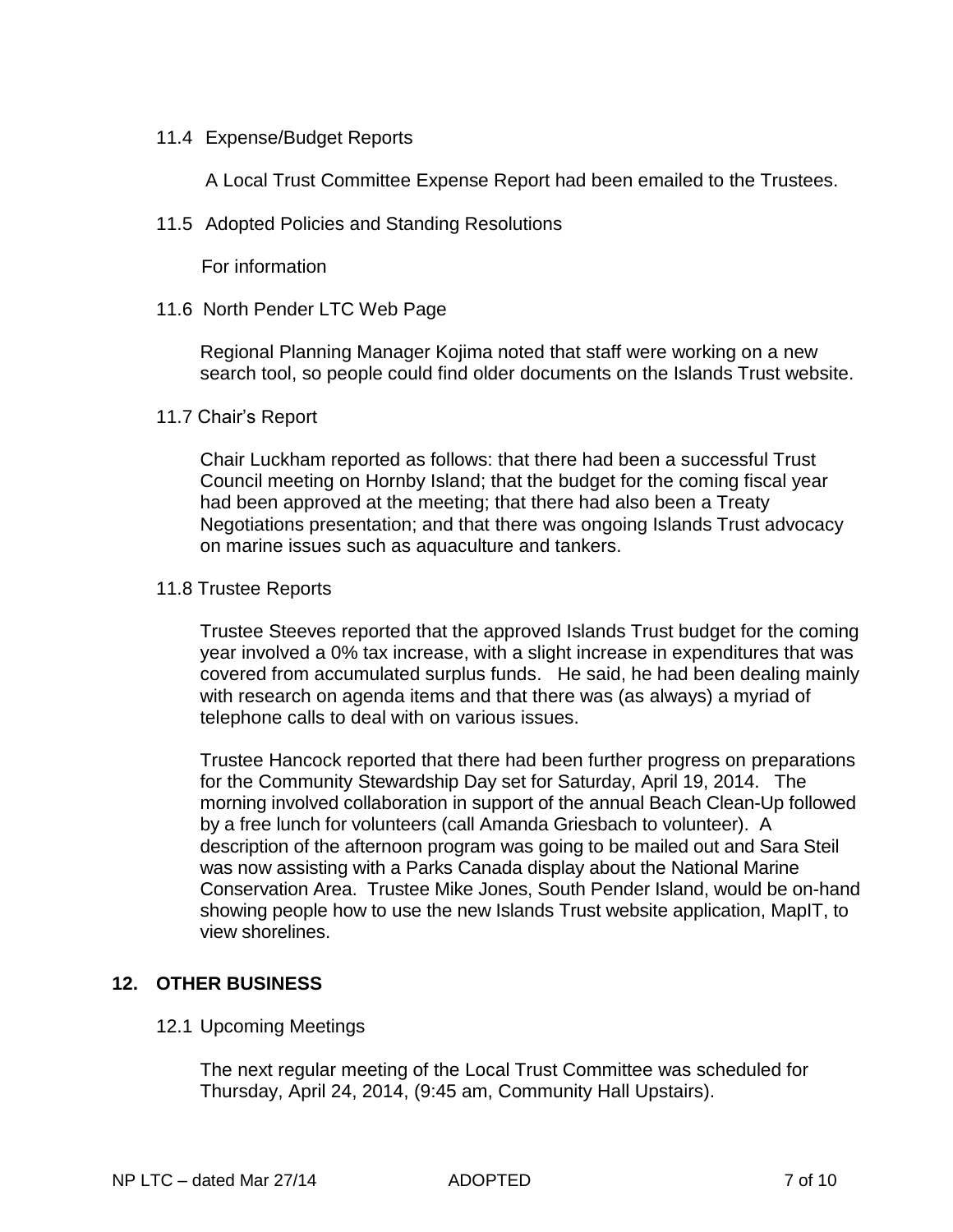## 11.4 Expense/Budget Reports

A Local Trust Committee Expense Report had been emailed to the Trustees.

11.5 Adopted Policies and Standing Resolutions

For information

## 11.6 North Pender LTC Web Page

Regional Planning Manager Kojima noted that staff were working on a new search tool, so people could find older documents on the Islands Trust website.

## 11.7 Chair's Report

Chair Luckham reported as follows: that there had been a successful Trust Council meeting on Hornby Island; that the budget for the coming fiscal year had been approved at the meeting; that there had also been a Treaty Negotiations presentation; and that there was ongoing Islands Trust advocacy on marine issues such as aquaculture and tankers.

## 11.8 Trustee Reports

Trustee Steeves reported that the approved Islands Trust budget for the coming year involved a 0% tax increase, with a slight increase in expenditures that was covered from accumulated surplus funds. He said, he had been dealing mainly with research on agenda items and that there was (as always) a myriad of telephone calls to deal with on various issues.

Trustee Hancock reported that there had been further progress on preparations for the Community Stewardship Day set for Saturday, April 19, 2014. The morning involved collaboration in support of the annual Beach Clean-Up followed by a free lunch for volunteers (call Amanda Griesbach to volunteer). A description of the afternoon program was going to be mailed out and Sara Steil was now assisting with a Parks Canada display about the National Marine Conservation Area. Trustee Mike Jones, South Pender Island, would be on-hand showing people how to use the new Islands Trust website application, MapIT, to view shorelines.

# **12. OTHER BUSINESS**

# 12.1 Upcoming Meetings

The next regular meeting of the Local Trust Committee was scheduled for Thursday, April 24, 2014, (9:45 am, Community Hall Upstairs).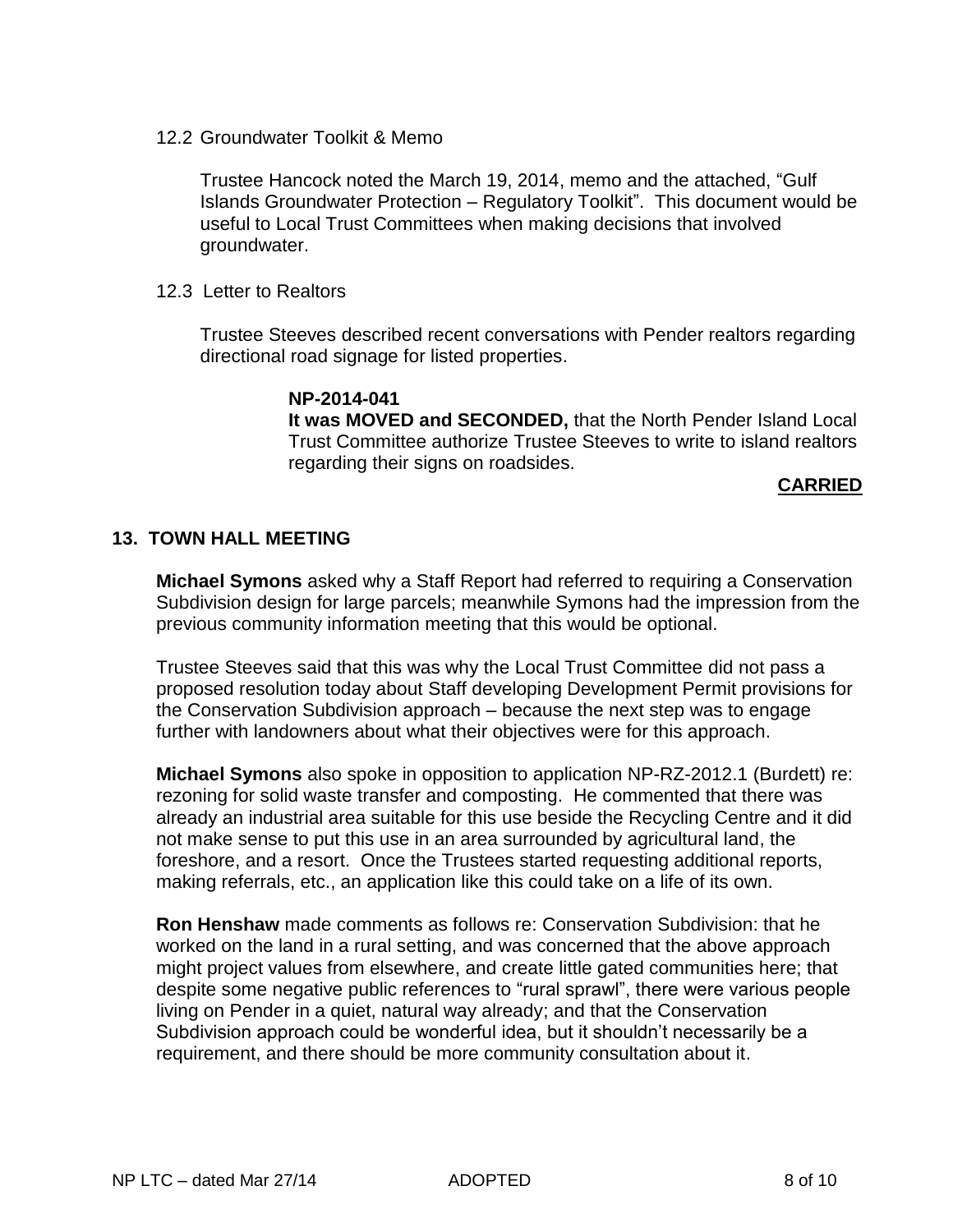12.2 Groundwater Toolkit & Memo

Trustee Hancock noted the March 19, 2014, memo and the attached, "Gulf Islands Groundwater Protection – Regulatory Toolkit". This document would be useful to Local Trust Committees when making decisions that involved groundwater.

12.3 Letter to Realtors

Trustee Steeves described recent conversations with Pender realtors regarding directional road signage for listed properties.

> **NP-2014-041 It was MOVED and SECONDED,** that the North Pender Island Local Trust Committee authorize Trustee Steeves to write to island realtors regarding their signs on roadsides.

## **CARRIED**

## **13. TOWN HALL MEETING**

**Michael Symons** asked why a Staff Report had referred to requiring a Conservation Subdivision design for large parcels; meanwhile Symons had the impression from the previous community information meeting that this would be optional.

Trustee Steeves said that this was why the Local Trust Committee did not pass a proposed resolution today about Staff developing Development Permit provisions for the Conservation Subdivision approach – because the next step was to engage further with landowners about what their objectives were for this approach.

**Michael Symons** also spoke in opposition to application NP-RZ-2012.1 (Burdett) re: rezoning for solid waste transfer and composting. He commented that there was already an industrial area suitable for this use beside the Recycling Centre and it did not make sense to put this use in an area surrounded by agricultural land, the foreshore, and a resort. Once the Trustees started requesting additional reports, making referrals, etc., an application like this could take on a life of its own.

**Ron Henshaw** made comments as follows re: Conservation Subdivision: that he worked on the land in a rural setting, and was concerned that the above approach might project values from elsewhere, and create little gated communities here; that despite some negative public references to "rural sprawl", there were various people living on Pender in a quiet, natural way already; and that the Conservation Subdivision approach could be wonderful idea, but it shouldn't necessarily be a requirement, and there should be more community consultation about it.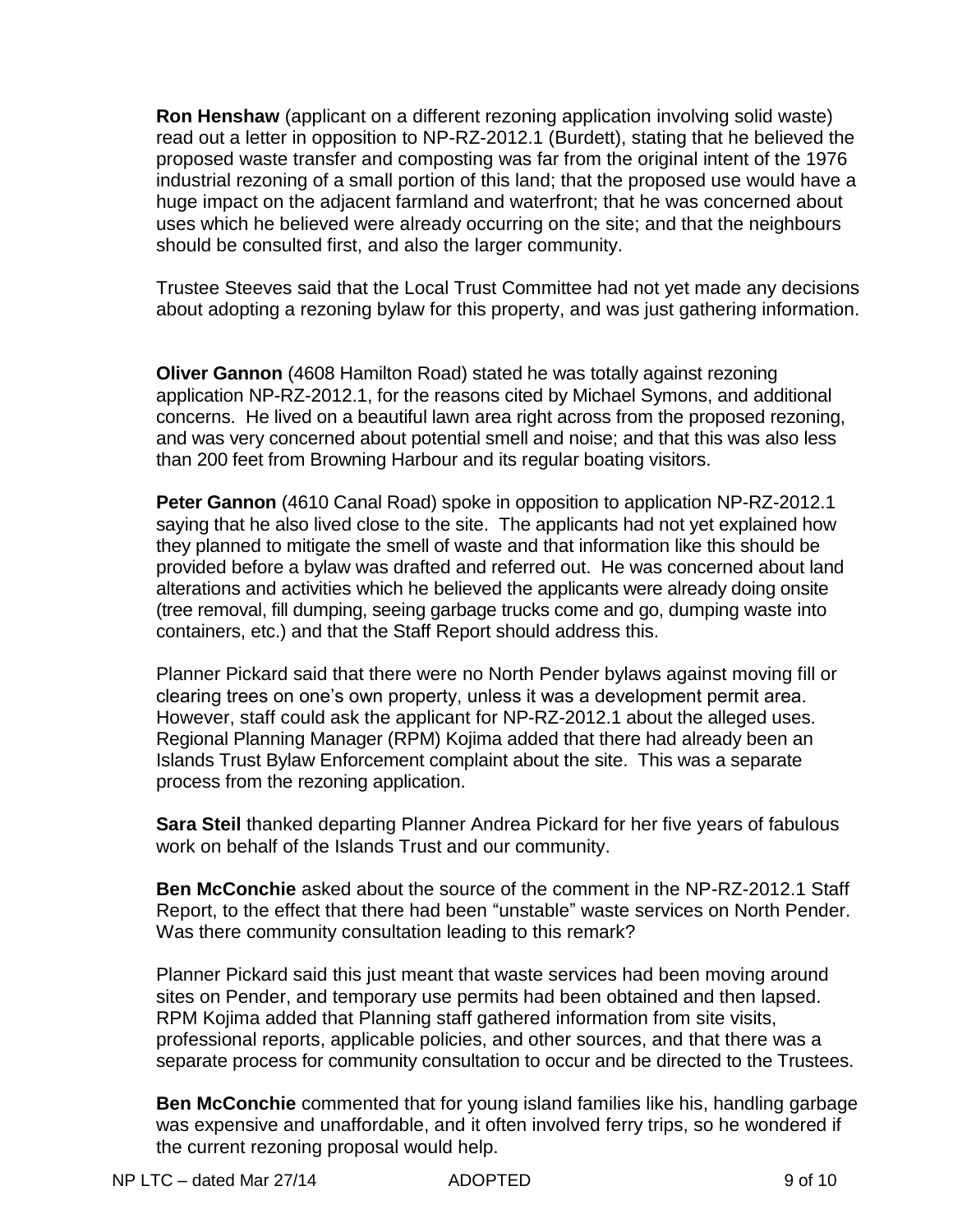**Ron Henshaw** (applicant on a different rezoning application involving solid waste) read out a letter in opposition to NP-RZ-2012.1 (Burdett), stating that he believed the proposed waste transfer and composting was far from the original intent of the 1976 industrial rezoning of a small portion of this land; that the proposed use would have a huge impact on the adjacent farmland and waterfront; that he was concerned about uses which he believed were already occurring on the site; and that the neighbours should be consulted first, and also the larger community.

Trustee Steeves said that the Local Trust Committee had not yet made any decisions about adopting a rezoning bylaw for this property, and was just gathering information.

**Oliver Gannon** (4608 Hamilton Road) stated he was totally against rezoning application NP-RZ-2012.1, for the reasons cited by Michael Symons, and additional concerns. He lived on a beautiful lawn area right across from the proposed rezoning, and was very concerned about potential smell and noise; and that this was also less than 200 feet from Browning Harbour and its regular boating visitors.

**Peter Gannon** (4610 Canal Road) spoke in opposition to application NP-RZ-2012.1 saying that he also lived close to the site. The applicants had not yet explained how they planned to mitigate the smell of waste and that information like this should be provided before a bylaw was drafted and referred out. He was concerned about land alterations and activities which he believed the applicants were already doing onsite (tree removal, fill dumping, seeing garbage trucks come and go, dumping waste into containers, etc.) and that the Staff Report should address this.

Planner Pickard said that there were no North Pender bylaws against moving fill or clearing trees on one's own property, unless it was a development permit area. However, staff could ask the applicant for NP-RZ-2012.1 about the alleged uses. Regional Planning Manager (RPM) Kojima added that there had already been an Islands Trust Bylaw Enforcement complaint about the site. This was a separate process from the rezoning application.

**Sara Steil** thanked departing Planner Andrea Pickard for her five years of fabulous work on behalf of the Islands Trust and our community.

**Ben McConchie** asked about the source of the comment in the NP-RZ-2012.1 Staff Report, to the effect that there had been "unstable" waste services on North Pender. Was there community consultation leading to this remark?

Planner Pickard said this just meant that waste services had been moving around sites on Pender, and temporary use permits had been obtained and then lapsed. RPM Kojima added that Planning staff gathered information from site visits, professional reports, applicable policies, and other sources, and that there was a separate process for community consultation to occur and be directed to the Trustees.

**Ben McConchie** commented that for young island families like his, handling garbage was expensive and unaffordable, and it often involved ferry trips, so he wondered if the current rezoning proposal would help.